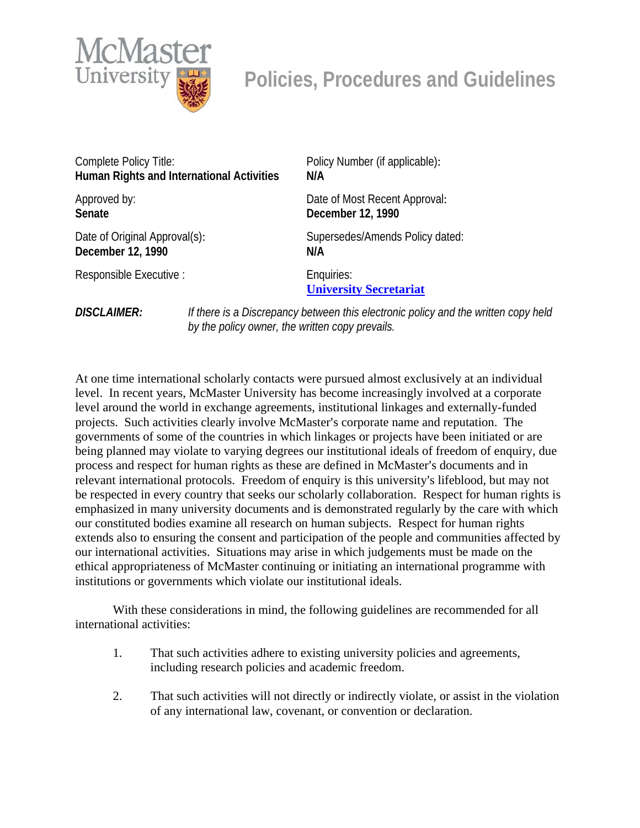

## **Policies, Procedures and Guidelines**

| Complete Policy Title:                           |                                                                                                                                       | Policy Number (if applicable):              |
|--------------------------------------------------|---------------------------------------------------------------------------------------------------------------------------------------|---------------------------------------------|
| <b>Human Rights and International Activities</b> |                                                                                                                                       | N/A                                         |
| Approved by:                                     |                                                                                                                                       | Date of Most Recent Approval:               |
| Senate                                           |                                                                                                                                       | December 12, 1990                           |
| Date of Original Approval(s):                    |                                                                                                                                       | Supersedes/Amends Policy dated:             |
| December 12, 1990                                |                                                                                                                                       | N/A                                         |
| Responsible Executive :                          |                                                                                                                                       | Enquiries:<br><b>University Secretariat</b> |
| <b>DISCLAIMER:</b>                               | If there is a Discrepancy between this electronic policy and the written copy held<br>by the policy owner, the written copy prevails. |                                             |

At one time international scholarly contacts were pursued almost exclusively at an individual level. In recent years, McMaster University has become increasingly involved at a corporate level around the world in exchange agreements, institutional linkages and externally-funded projects. Such activities clearly involve McMaster's corporate name and reputation. The governments of some of the countries in which linkages or projects have been initiated or are being planned may violate to varying degrees our institutional ideals of freedom of enquiry, due process and respect for human rights as these are defined in McMaster's documents and in relevant international protocols. Freedom of enquiry is this university's lifeblood, but may not be respected in every country that seeks our scholarly collaboration. Respect for human rights is emphasized in many university documents and is demonstrated regularly by the care with which our constituted bodies examine all research on human subjects. Respect for human rights extends also to ensuring the consent and participation of the people and communities affected by our international activities. Situations may arise in which judgements must be made on the ethical appropriateness of McMaster continuing or initiating an international programme with institutions or governments which violate our institutional ideals.

With these considerations in mind, the following guidelines are recommended for all international activities:

- 1. That such activities adhere to existing university policies and agreements, including research policies and academic freedom.
- 2. That such activities will not directly or indirectly violate, or assist in the violation of any international law, covenant, or convention or declaration.